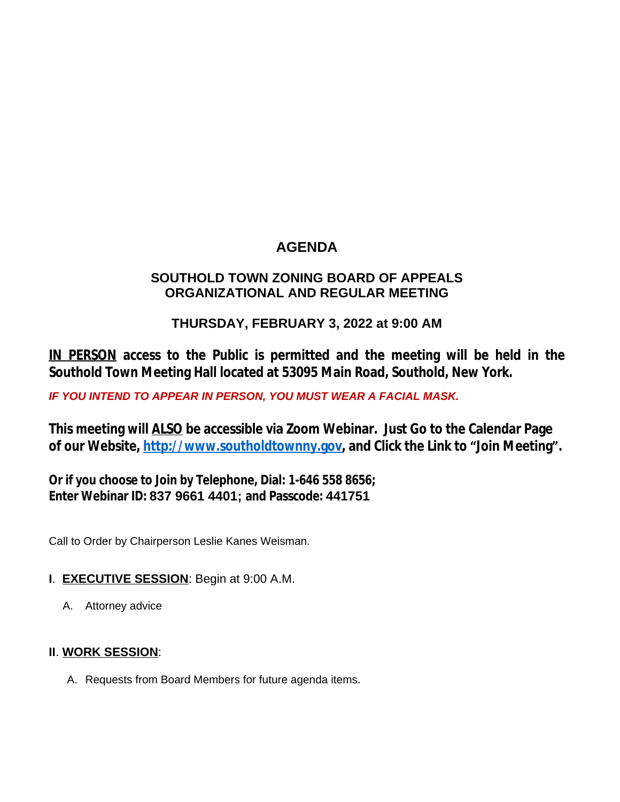# **AGENDA**

## **SOUTHOLD TOWN ZONING BOARD OF APPEALS ORGANIZATIONAL AND REGULAR MEETING**

## **THURSDAY, FEBRUARY 3, 2022 at 9:00 AM**

**IN PERSON access to the Public is permitted and the meeting will be held in the Southold Town Meeting Hall located at 53095 Main Road, Southold, New York.**

*IF YOU INTEND TO APPEAR IN PERSON, YOU MUST WEAR A FACIAL MASK.*

**This meeting will ALSO be accessible via Zoom Webinar. Just Go to the Calendar Page of our Website, [http://www.southoldtownny.gov,](http://www.southoldtownny.gov) and Click the Link to "Join Meeting".**

**Or if you choose to Join by Telephone, Dial: 1-646 558 8656; Enter Webinar ID: 837 9661 4401; and Passcode: 441751**

Call to Order by Chairperson Leslie Kanes Weisman.

- **I**. **EXECUTIVE SESSION**: Begin at 9:00 A.M.
	- A. Attorney advice

### **II**. **WORK SESSION**:

A. Requests from Board Members for future agenda items.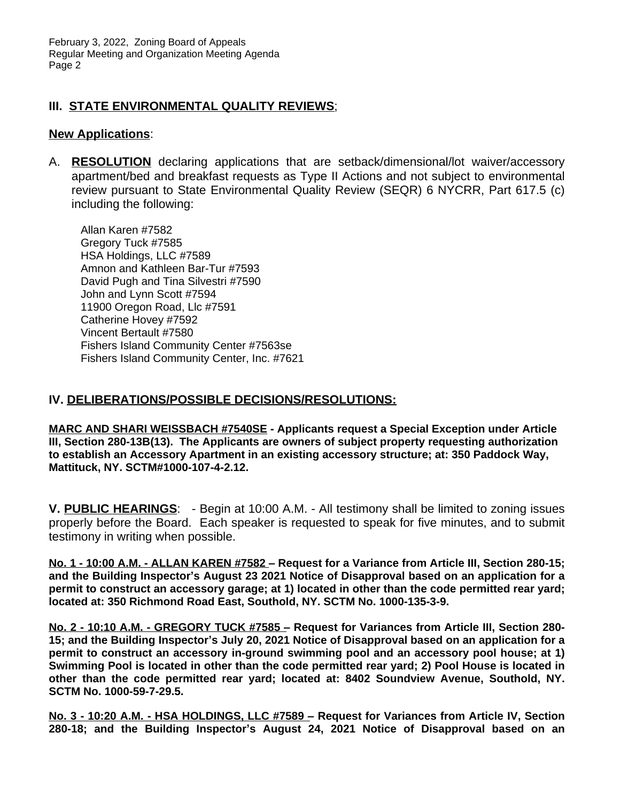#### **III. STATE ENVIRONMENTAL QUALITY REVIEWS**;

#### **New Applications**:

A. **RESOLUTION** declaring applications that are setback/dimensional/lot waiver/accessory apartment/bed and breakfast requests as Type II Actions and not subject to environmental review pursuant to State Environmental Quality Review (SEQR) 6 NYCRR, Part 617.5 (c) including the following:

Allan Karen #7582 Gregory Tuck #7585 HSA Holdings, LLC #7589 Amnon and Kathleen Bar-Tur #7593 David Pugh and Tina Silvestri #7590 John and Lynn Scott #7594 11900 Oregon Road, Llc #7591 Catherine Hovey #7592 Vincent Bertault #7580 Fishers Island Community Center #7563se Fishers Island Community Center, Inc. #7621

#### **IV. DELIBERATIONS/POSSIBLE DECISIONS/RESOLUTIONS:**

**MARC AND SHARI WEISSBACH #7540SE - Applicants request a Special Exception under Article III, Section 280-13B(13). The Applicants are owners of subject property requesting authorization to establish an Accessory Apartment in an existing accessory structure; at: 350 Paddock Way, Mattituck, NY. SCTM#1000-107-4-2.12.**

**V. PUBLIC HEARINGS**: - Begin at 10:00 A.M. - All testimony shall be limited to zoning issues properly before the Board. Each speaker is requested to speak for five minutes, and to submit testimony in writing when possible.

**No. 1 - 10:00 A.M. - ALLAN KAREN #7582 – Request for a Variance from Article III, Section 280-15; and the Building Inspector's August 23 2021 Notice of Disapproval based on an application for a permit to construct an accessory garage; at 1) located in other than the code permitted rear yard; located at: 350 Richmond Road East, Southold, NY. SCTM No. 1000-135-3-9.**

**No. 2 - 10:10 A.M. - GREGORY TUCK #7585 – Request for Variances from Article III, Section 280-** 15; and the Building Inspector's July 20, 2021 Notice of Disapproval based on an application for a **permit to construct an accessory in-ground swimming pool and an accessory pool house; at 1) Swimming Pool is located in other than the code permitted rear yard; 2) Pool House is located in other than the code permitted rear yard; located at: 8402 Soundview Avenue, Southold, NY. SCTM No. 1000-59-7-29.5.**

**No. 3 - 10:20 A.M. - HSA HOLDINGS, LLC #7589 – Request for Variances from Article IV, Section 280-18; and the Building Inspector's August 24, 2021 Notice of Disapproval based on an**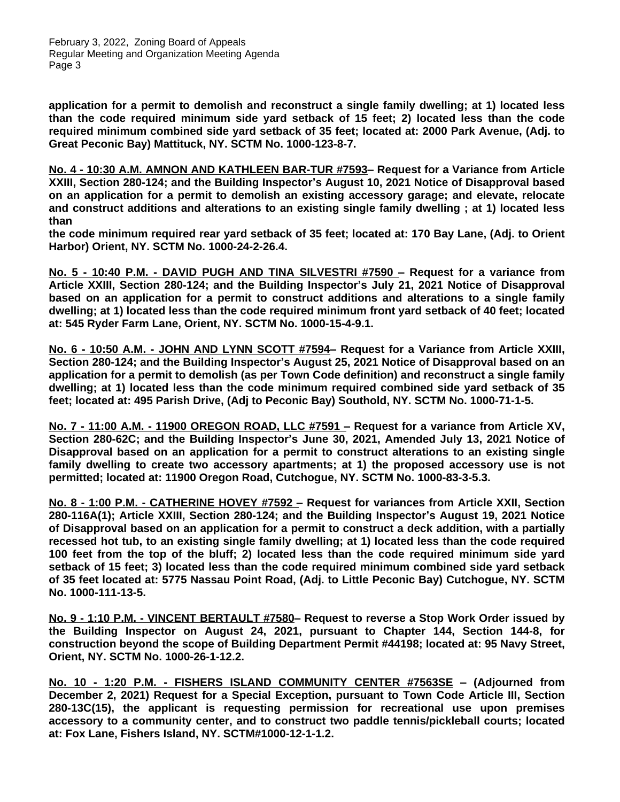February 3, 2022, Zoning Board of Appeals Regular Meeting and Organization Meeting Agenda Page 3

**application for a permit to demolish and reconstruct a single family dwelling; at 1) located less than the code required minimum side yard setback of 15 feet; 2) located less than the code required minimum combined side yard setback of 35 feet; located at: 2000 Park Avenue, (Adj. to Great Peconic Bay) Mattituck, NY. SCTM No. 1000-123-8-7.**

**No. 4 - 10:30 A.M. AMNON AND KATHLEEN BAR-TUR #7593– Request for a Variance from Article XXIII, Section 280-124; and the Building Inspector's August 10, 2021 Notice of Disapproval based on an application for a permit to demolish an existing accessory garage; and elevate, relocate and construct additions and alterations to an existing single family dwelling ; at 1) located less than** 

**the code minimum required rear yard setback of 35 feet; located at: 170 Bay Lane, (Adj. to Orient Harbor) Orient, NY. SCTM No. 1000-24-2-26.4.**

**No. 5 - 10:40 P.M. - DAVID PUGH AND TINA SILVESTRI #7590 – Request for a variance from Article XXIII, Section 280-124; and the Building Inspector's July 21, 2021 Notice of Disapproval based on an application for a permit to construct additions and alterations to a single family dwelling; at 1) located less than the code required minimum front yard setback of 40 feet; located at: 545 Ryder Farm Lane, Orient, NY. SCTM No. 1000-15-4-9.1.**

**No. 6 - 10:50 A.M. - JOHN AND LYNN SCOTT #7594– Request for a Variance from Article XXIII, Section 280-124; and the Building Inspector's August 25, 2021 Notice of Disapproval based on an application for a permit to demolish (as per Town Code definition) and reconstruct a single family dwelling; at 1) located less than the code minimum required combined side yard setback of 35 feet; located at: 495 Parish Drive, (Adj to Peconic Bay) Southold, NY. SCTM No. 1000-71-1-5.**

**No. 7 - 11:00 A.M. - 11900 OREGON ROAD, LLC #7591 – Request for a variance from Article XV, Section 280-62C; and the Building Inspector's June 30, 2021, Amended July 13, 2021 Notice of Disapproval based on an application for a permit to construct alterations to an existing single family dwelling to create two accessory apartments; at 1) the proposed accessory use is not permitted; located at: 11900 Oregon Road, Cutchogue, NY. SCTM No. 1000-83-3-5.3.**

**No. 8 - 1:00 P.M. - CATHERINE HOVEY #7592 – Request for variances from Article XXII, Section 280-116A(1); Article XXIII, Section 280-124; and the Building Inspector's August 19, 2021 Notice of Disapproval based on an application for a permit to construct a deck addition, with a partially recessed hot tub, to an existing single family dwelling; at 1) located less than the code required 100 feet from the top of the bluff; 2) located less than the code required minimum side yard setback of 15 feet; 3) located less than the code required minimum combined side yard setback of 35 feet located at: 5775 Nassau Point Road, (Adj. to Little Peconic Bay) Cutchogue, NY. SCTM No. 1000-111-13-5.**

**No. 9 - 1:10 P.M. - VINCENT BERTAULT #7580– Request to reverse a Stop Work Order issued by the Building Inspector on August 24, 2021, pursuant to Chapter 144, Section 144-8, for construction beyond the scope of Building Department Permit #44198; located at: 95 Navy Street, Orient, NY. SCTM No. 1000-26-1-12.2.**

**No. 10 - 1:20 P.M. - FISHERS ISLAND COMMUNITY CENTER #7563SE – (Adjourned from December 2, 2021) Request for a Special Exception, pursuant to Town Code Article III, Section 280-13C(15), the applicant is requesting permission for recreational use upon premises accessory to a community center, and to construct two paddle tennis/pickleball courts; located at: Fox Lane, Fishers Island, NY. SCTM#1000-12-1-1.2.**